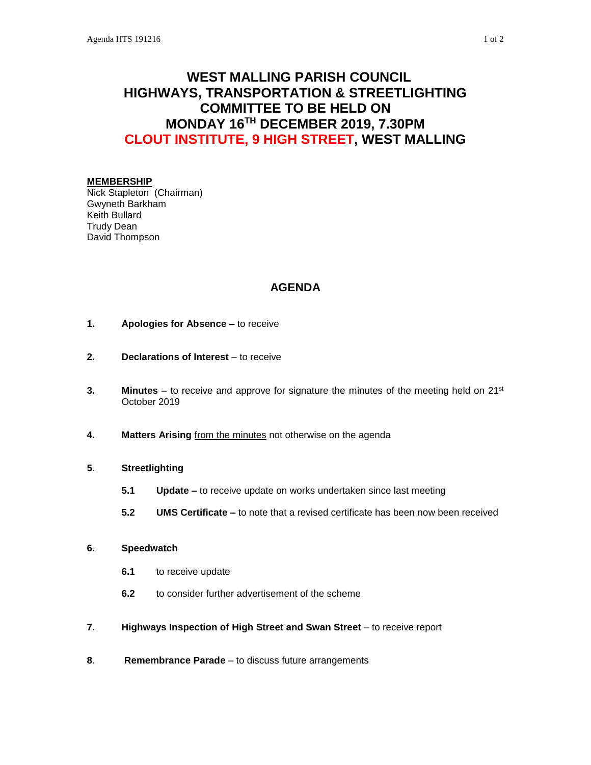# **WEST MALLING PARISH COUNCIL HIGHWAYS, TRANSPORTATION & STREETLIGHTING COMMITTEE TO BE HELD ON MONDAY 16TH DECEMBER 2019, 7.30PM CLOUT INSTITUTE, 9 HIGH STREET, WEST MALLING**

### **MEMBERSHIP**

Nick Stapleton (Chairman) Gwyneth Barkham Keith Bullard Trudy Dean David Thompson

# **AGENDA**

- **1. Apologies for Absence –** to receive
- **2. Declarations of Interest** to receive
- **3. Minutes** to receive and approve for signature the minutes of the meeting held on 21<sup>st</sup> October 2019
- **4. Matters Arising** from the minutes not otherwise on the agenda

# **5. Streetlighting**

- **5.1 Update –** to receive update on works undertaken since last meeting
- **5.2 UMS Certificate –** to note that a revised certificate has been now been received

# **6. Speedwatch**

- **6.1** to receive update
- **6.2** to consider further advertisement of the scheme
- **7. Highways Inspection of High Street and Swan Street** to receive report
- **8**. **Remembrance Parade** to discuss future arrangements